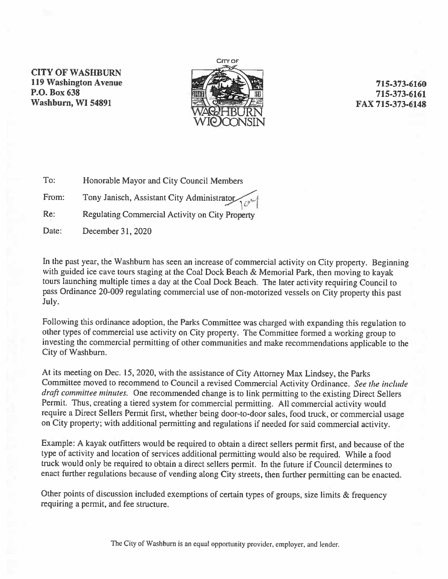**CITY OF WASHBURN 119 Washington Avenue** P.O. Box 638 Washburn, WI 54891



# 715-373-6160 715-373-6161 FAX 715-373-6148

- $T\alpha$ Honorable Mayor and City Council Members
- From: Tony Janisch, Assistant City Administrator

 $Re:$ Regulating Commercial Activity on City Property

Date: December 31, 2020

In the past year, the Washburn has seen an increase of commercial activity on City property. Beginning with guided ice cave tours staging at the Coal Dock Beach & Memorial Park, then moving to kayak tours launching multiple times a day at the Coal Dock Beach. The later activity requiring Council to pass Ordinance 20-009 regulating commercial use of non-motorized vessels on City property this past July.

Following this ordinance adoption, the Parks Committee was charged with expanding this regulation to other types of commercial use activity on City property. The Committee formed a working group to investing the commercial permitting of other communities and make recommendations applicable to the City of Washburn.

At its meeting on Dec. 15, 2020, with the assistance of City Attorney Max Lindsey, the Parks Committee moved to recommend to Council a revised Commercial Activity Ordinance. See the include draft committee minutes. One recommended change is to link permitting to the existing Direct Sellers Permit. Thus, creating a tiered system for commercial permitting. All commercial activity would require a Direct Sellers Permit first, whether being door-to-door sales, food truck, or commercial usage on City property; with additional permitting and regulations if needed for said commercial activity.

Example: A kayak outfitters would be required to obtain a direct sellers permit first, and because of the type of activity and location of services additional permitting would also be required. While a food truck would only be required to obtain a direct sellers permit. In the future if Council determines to enact further regulations because of vending along City streets, then further permitting can be enacted.

Other points of discussion included exemptions of certain types of groups, size limits & frequency requiring a permit, and fee structure.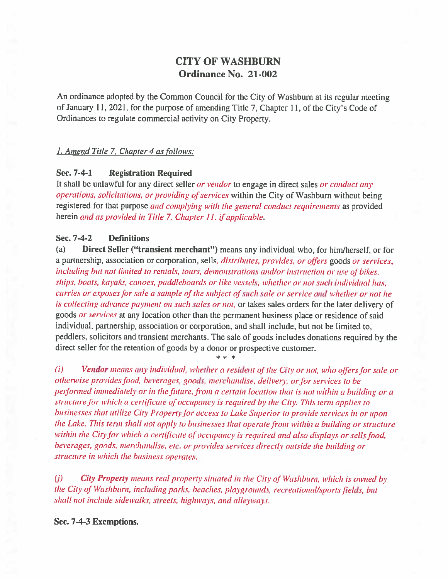# **CITY OF WASHBURN** Ordinance No. 21-002

An ordinance adopted by the Common Council for the City of Washburn at its regular meeting of January 11, 2021, for the purpose of amending Title 7, Chapter 11, of the City's Code of Ordinances to regulate commercial activity on City Property.

## 1. Amend Title 7, Chapter 4 as follows:

### Sec. 7-4-1 **Registration Required**

It shall be unlawful for any direct seller or vendor to engage in direct sales or conduct any operations, solicitations, or providing of services within the City of Washburn without being registered for that purpose and complying with the general conduct requirements as provided herein and as provided in Title 7, Chapter 11, if applicable.

### Sec. 7-4-2 **Definitions**

Direct Seller ("transient merchant") means any individual who, for him/herself, or for  $(a)$ a partnership, association or corporation, sells, *distributes, provides, or offers goods or services*, including but not limited to rentals, tours, demonstrations and/or instruction or use of bikes. ships, boats, kayaks, canoes, paddleboards or like vessels, whether or not such individual has. carries or exposes for sale a sample of the subject of such sale or service and whether or not he is collecting advance payment on such sales or not, or takes sales orders for the later delivery of goods or services at any location other than the permanent business place or residence of said individual, partnership, association or corporation, and shall include, but not be limited to, peddlers, solicitors and transient merchants. The sale of goods includes donations required by the direct seller for the retention of goods by a donor or prospective customer.

Vendor means any individual, whether a resident of the City or not, who offers for sale or  $(i)$ otherwise provides food, beverages, goods, merchandise, delivery, or for services to be performed immediately or in the future, from a certain location that is not within a building or a structure for which a certificate of occupancy is required by the City. This term applies to businesses that utilize City Property for access to Lake Superior to provide services in or upon the Lake. This term shall not apply to businesses that operate from within a building or structure within the City for which a certificate of occupancy is required and also displays or sells food. beverages, goods, merchandise, etc. or provides services directly outside the building or structure in which the business operates.

City Property means real property situated in the City of Washburn, which is owned by  $(i)$ the City of Washburn, including parks, beaches, playgrounds, recreational/sports fields, but shall not include sidewalks, streets, highways, and alleyways.

## Sec. 7-4-3 Exemptions.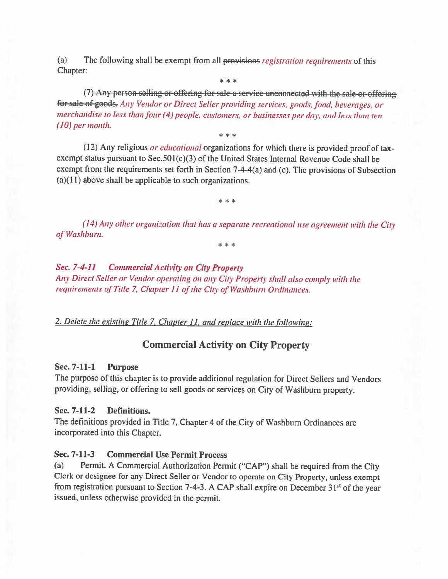(a) The following shall be exempt from all provisions registration requirements of this Chapter:

(7) Any person selling or offering for sale a service unconnected with the sale or offering for sale of goods. Any Vendor or Direct Seller providing services, goods, food, beverages, or merchandise to less than four (4) people, customers, or businesses per day, and less than ten  $(10)$  per month.

\* \* \*

(12) Any religious *or educational* organizations for which there is provided proof of taxexempt status pursuant to Sec.  $501(c)(3)$  of the United States Internal Revenue Code shall be exempt from the requirements set forth in Section 7-4-4(a) and (c). The provisions of Subsection  $(a)(11)$  above shall be applicable to such organizations.

\*\*\*

 $(14)$  Any other organization that has a separate recreational use agreement with the City of Washburn.

### **Commercial Activity on City Property** Sec. 7-4-11

Any Direct Seller or Vendor operating on any City Property shall also comply with the requirements of Title 7, Chapter 11 of the City of Washburn Ordinances.

## 2. Delete the existing Title 7, Chapter 11, and replace with the following:

# **Commercial Activity on City Property**

### Sec. 7-11-1 **Purpose**

The purpose of this chapter is to provide additional regulation for Direct Sellers and Vendors providing, selling, or offering to sell goods or services on City of Washburn property.

#### Sec. 7-11-2 Definitions.

The definitions provided in Title 7, Chapter 4 of the City of Washburn Ordinances are incorporated into this Chapter.

### Sec. 7-11-3 **Commercial Use Permit Process**

(a) Permit. A Commercial Authorization Permit ("CAP") shall be required from the City Clerk or designee for any Direct Seller or Vendor to operate on City Property, unless exempt from registration pursuant to Section 7-4-3. A CAP shall expire on December 31<sup>st</sup> of the year issued, unless otherwise provided in the permit.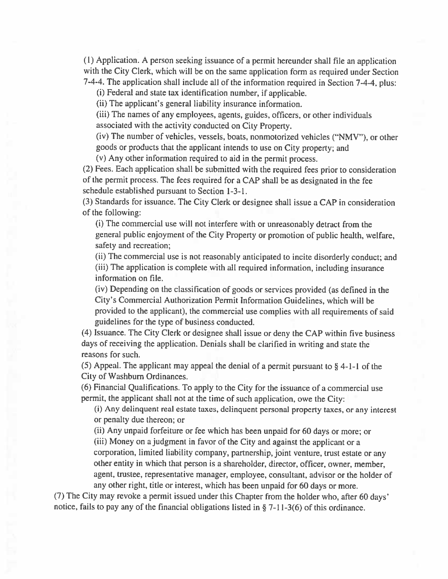(1) Application. A person seeking issuance of a permit hereunder shall file an application with the City Clerk, which will be on the same application form as required under Section 7-4-4. The application shall include all of the information required in Section 7-4-4, plus:

(i) Federal and state tax identification number, if applicable.

(ii) The applicant's general liability insurance information.

(iii) The names of any employees, agents, guides, officers, or other individuals associated with the activity conducted on City Property.

(iv) The number of vehicles, vessels, boats, nonmotorized vehicles ("NMV"), or other goods or products that the applicant intends to use on City property; and

(v) Any other information required to aid in the permit process.

(2) Fees. Each application shall be submitted with the required fees prior to consideration of the permit process. The fees required for a CAP shall be as designated in the fee schedule established pursuant to Section 1-3-1.

(3) Standards for issuance. The City Clerk or designee shall issue a CAP in consideration of the following:

(i) The commercial use will not interfere with or unreasonably detract from the general public enjoyment of the City Property or promotion of public health, welfare, safety and recreation;

(ii) The commercial use is not reasonably anticipated to incite disorderly conduct; and (iii) The application is complete with all required information, including insurance information on file.

(iv) Depending on the classification of goods or services provided (as defined in the City's Commercial Authorization Permit Information Guidelines, which will be provided to the applicant), the commercial use complies with all requirements of said guidelines for the type of business conducted.

(4) Issuance. The City Clerk or designee shall issue or deny the CAP within five business days of receiving the application. Denials shall be clarified in writing and state the reasons for such.

(5) Appeal. The applicant may appeal the denial of a permit pursuant to  $\S$  4-1-1 of the City of Washburn Ordinances.

(6) Financial Qualifications. To apply to the City for the issuance of a commercial use permit, the applicant shall not at the time of such application, owe the City:

(i) Any delinquent real estate taxes, delinquent personal property taxes, or any interest or penalty due thereon; or

(ii) Any unpaid forfeiture or fee which has been unpaid for 60 days or more; or (iii) Money on a judgment in favor of the City and against the applicant or a corporation, limited liability company, partnership, joint venture, trust estate or any other entity in which that person is a shareholder, director, officer, owner, member, agent, trustee, representative manager, employee, consultant, advisor or the holder of any other right, title or interest, which has been unpaid for 60 days or more.

(7) The City may revoke a permit issued under this Chapter from the holder who, after 60 days' notice, fails to pay any of the financial obligations listed in  $\S$  7-11-3(6) of this ordinance.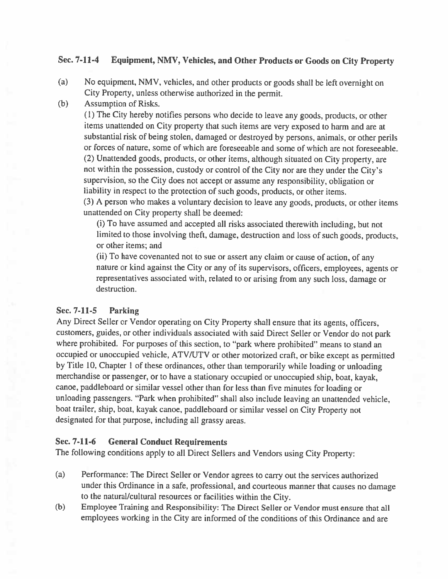### Sec. 7-11-4 Equipment, NMV, Vehicles, and Other Products or Goods on City Property

- $(a)$ No equipment, NMV, vehicles, and other products or goods shall be left overnight on City Property, unless otherwise authorized in the permit.
- $(b)$ **Assumption of Risks.**

(1) The City hereby notifies persons who decide to leave any goods, products, or other items unattended on City property that such items are very exposed to harm and are at substantial risk of being stolen, damaged or destroyed by persons, animals, or other perils or forces of nature, some of which are foreseeable and some of which are not foreseeable. (2) Unattended goods, products, or other items, although situated on City property, are not within the possession, custody or control of the City nor are they under the City's supervision, so the City does not accept or assume any responsibility, obligation or liability in respect to the protection of such goods, products, or other items. (3) A person who makes a voluntary decision to leave any goods, products, or other items

unattended on City property shall be deemed:

(i) To have assumed and accepted all risks associated therewith including, but not limited to those involving theft, damage, destruction and loss of such goods, products, or other items: and

(ii) To have covenanted not to sue or assert any claim or cause of action, of any nature or kind against the City or any of its supervisors, officers, employees, agents or representatives associated with, related to or arising from any such loss, damage or destruction.

### Sec. 7-11-5 **Parking**

Any Direct Seller or Vendor operating on City Property shall ensure that its agents, officers, customers, guides, or other individuals associated with said Direct Seller or Vendor do not park where prohibited. For purposes of this section, to "park where prohibited" means to stand an occupied or unoccupied vehicle, ATV/UTV or other motorized craft, or bike except as permitted by Title 10, Chapter 1 of these ordinances, other than temporarily while loading or unloading merchandise or passenger, or to have a stationary occupied or unoccupied ship, boat, kayak, canoe, paddleboard or similar vessel other than for less than five minutes for loading or unloading passengers. "Park when prohibited" shall also include leaving an unattended vehicle, boat trailer, ship, boat, kayak canoe, paddleboard or similar vessel on City Property not designated for that purpose, including all grassy areas.

### Sec. 7-11-6 **General Conduct Requirements**

The following conditions apply to all Direct Sellers and Vendors using City Property:

- $(a)$ Performance: The Direct Seller or Vendor agrees to carry out the services authorized under this Ordinance in a safe, professional, and courteous manner that causes no damage to the natural/cultural resources or facilities within the City.
- $(b)$ Employee Training and Responsibility: The Direct Seller or Vendor must ensure that all employees working in the City are informed of the conditions of this Ordinance and are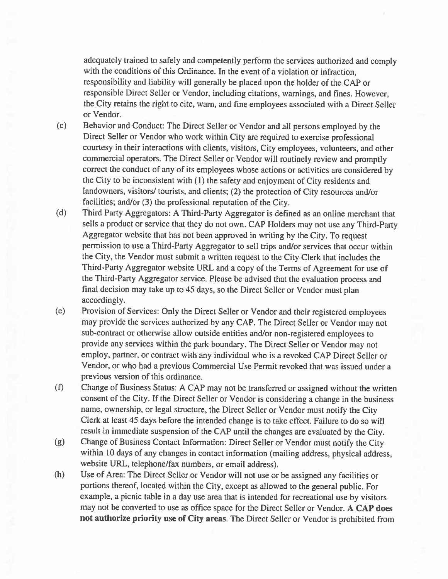adequately trained to safely and competently perform the services authorized and comply with the conditions of this Ordinance. In the event of a violation or infraction, responsibility and liability will generally be placed upon the holder of the CAP or responsible Direct Seller or Vendor, including citations, warnings, and fines. However, the City retains the right to cite, warn, and fine employees associated with a Direct Seller or Vendor.

- Behavior and Conduct: The Direct Seller or Vendor and all persons employed by the  $(c)$ Direct Seller or Vendor who work within City are required to exercise professional courtesy in their interactions with clients, visitors, City employees, volunteers, and other commercial operators. The Direct Seller or Vendor will routinely review and promptly correct the conduct of any of its employees whose actions or activities are considered by the City to be inconsistent with (1) the safety and enjoyment of City residents and landowners, visitors/ tourists, and clients; (2) the protection of City resources and/or facilities; and/or (3) the professional reputation of the City.
- $(d)$ Third Party Aggregators: A Third-Party Aggregator is defined as an online merchant that sells a product or service that they do not own. CAP Holders may not use any Third-Party Aggregator website that has not been approved in writing by the City. To request permission to use a Third-Party Aggregator to sell trips and/or services that occur within the City, the Vendor must submit a written request to the City Clerk that includes the Third-Party Aggregator website URL and a copy of the Terms of Agreement for use of the Third-Party Aggregator service. Please be advised that the evaluation process and final decision may take up to 45 days, so the Direct Seller or Vendor must plan accordingly.
- Provision of Services: Only the Direct Seller or Vendor and their registered employees  $(e)$ may provide the services authorized by any CAP. The Direct Seller or Vendor may not sub-contract or otherwise allow outside entities and/or non-registered employees to provide any services within the park boundary. The Direct Seller or Vendor may not employ, partner, or contract with any individual who is a revoked CAP Direct Seller or Vendor, or who had a previous Commercial Use Permit revoked that was issued under a previous version of this ordinance.
- $(f)$ Change of Business Status: A CAP may not be transferred or assigned without the written consent of the City. If the Direct Seller or Vendor is considering a change in the business name, ownership, or legal structure, the Direct Seller or Vendor must notify the City Clerk at least 45 days before the intended change is to take effect. Failure to do so will result in immediate suspension of the CAP until the changes are evaluated by the City.
- Change of Business Contact Information: Direct Seller or Vendor must notify the City  $(g)$ within 10 days of any changes in contact information (mailing address, physical address, website URL, telephone/fax numbers, or email address).
- $(h)$ Use of Area: The Direct Seller or Vendor will not use or be assigned any facilities or portions thereof, located within the City, except as allowed to the general public. For example, a picnic table in a day use area that is intended for recreational use by visitors may not be converted to use as office space for the Direct Seller or Vendor. A CAP does not authorize priority use of City areas. The Direct Seller or Vendor is prohibited from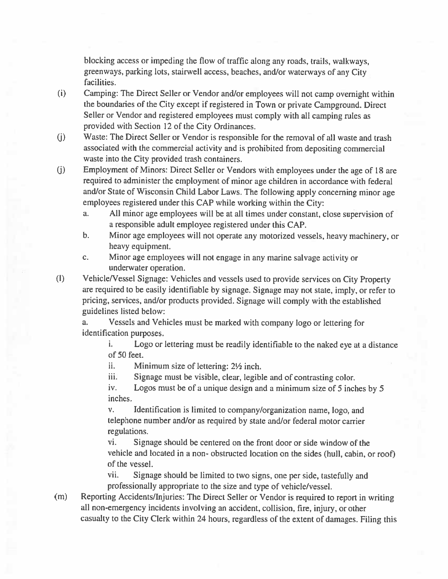blocking access or impeding the flow of traffic along any roads, trails, walkways, greenways, parking lots, stairwell access, beaches, and/or waterways of any City facilities.

- $(i)$ Camping: The Direct Seller or Vendor and/or employees will not camp overnight within the boundaries of the City except if registered in Town or private Campground. Direct Seller or Vendor and registered employees must comply with all camping rules as provided with Section 12 of the City Ordinances.
- Waste: The Direct Seller or Vendor is responsible for the removal of all waste and trash  $(j)$ associated with the commercial activity and is prohibited from depositing commercial waste into the City provided trash containers.
- Employment of Minors: Direct Seller or Vendors with employees under the age of 18 are  $(i)$ required to administer the employment of minor age children in accordance with federal and/or State of Wisconsin Child Labor Laws. The following apply concerning minor age employees registered under this CAP while working within the City:
	- All minor age employees will be at all times under constant, close supervision of a. a responsible adult employee registered under this CAP.
	- Minor age employees will not operate any motorized vessels, heavy machinery, or  $\mathbf b$ . heavy equipment.
	- Minor age employees will not engage in any marine salvage activity or c. underwater operation.
- Vehicle/Vessel Signage: Vehicles and vessels used to provide services on City Property  $\left( \mathbf{l} \right)$ are required to be easily identifiable by signage. Signage may not state, imply, or refer to pricing, services, and/or products provided. Signage will comply with the established guidelines listed below:

Vessels and Vehicles must be marked with company logo or lettering for a. identification purposes.

i. Logo or lettering must be readily identifiable to the naked eye at a distance of 50 feet.

ii. Minimum size of lettering: 2½ inch.

iii. Signage must be visible, clear, legible and of contrasting color.

iv. Logos must be of a unique design and a minimum size of 5 inches by 5 inches.

Identification is limited to company/organization name, logo, and V. telephone number and/or as required by state and/or federal motor carrier regulations.

vi. Signage should be centered on the front door or side window of the vehicle and located in a non-obstructed location on the sides (hull, cabin, or roof) of the vessel.

vii. Signage should be limited to two signs, one per side, tastefully and professionally appropriate to the size and type of vehicle/vessel.

Reporting Accidents/Injuries: The Direct Seller or Vendor is required to report in writing  $(m)$ all non-emergency incidents involving an accident, collision, fire, injury, or other casualty to the City Clerk within 24 hours, regardless of the extent of damages. Filing this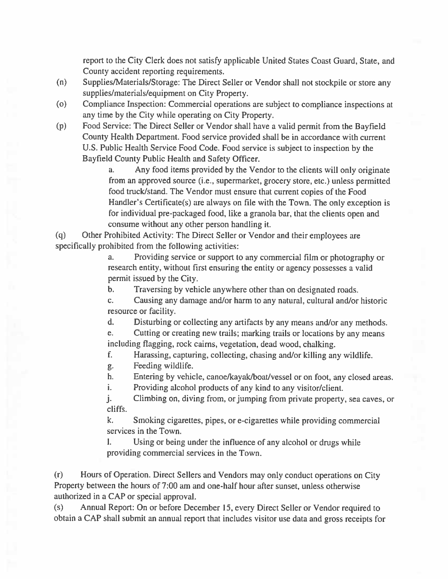report to the City Clerk does not satisfy applicable United States Coast Guard, State, and County accident reporting requirements.

- Supplies/Materials/Storage: The Direct Seller or Vendor shall not stockpile or store any  $(n)$ supplies/materials/equipment on City Property.
- $(0)$ Compliance Inspection: Commercial operations are subject to compliance inspections at any time by the City while operating on City Property.
- Food Service: The Direct Seller or Vendor shall have a valid permit from the Bayfield  $(p)$ County Health Department. Food service provided shall be in accordance with current U.S. Public Health Service Food Code. Food service is subject to inspection by the Bayfield County Public Health and Safety Officer.

 $\mathbf{a}$ . Any food items provided by the Vendor to the clients will only originate from an approved source (i.e., supermarket, grocery store, etc.) unless permitted food truck/stand. The Vendor must ensure that current copies of the Food Handler's Certificate(s) are always on file with the Town. The only exception is for individual pre-packaged food, like a granola bar, that the clients open and consume without any other person handling it.

Other Prohibited Activity: The Direct Seller or Vendor and their employees are  $(q)$ specifically prohibited from the following activities:

> Providing service or support to any commercial film or photography or  $a<sub>z</sub>$ research entity, without first ensuring the entity or agency possesses a valid permit issued by the City.

 $\mathbf{b}$ . Traversing by vehicle anywhere other than on designated roads.

c. Causing any damage and/or harm to any natural, cultural and/or historic resource or facility.

Disturbing or collecting any artifacts by any means and/or any methods. d.

Cutting or creating new trails; marking trails or locations by any means e. including flagging, rock cairns, vegetation, dead wood, chalking.

f. Harassing, capturing, collecting, chasing and/or killing any wildlife.

Feeding wildlife. g.

Entering by vehicle, canoe/kayak/boat/vessel or on foot, any closed areas. h.

Providing alcohol products of any kind to any visitor/client. i.

Climbing on, diving from, or jumping from private property, sea caves, or j. cliffs.

k. Smoking cigarettes, pipes, or e-cigarettes while providing commercial services in the Town.

Using or being under the influence of any alcohol or drugs while  $\mathbf{l}$ . providing commercial services in the Town.

Hours of Operation. Direct Sellers and Vendors may only conduct operations on City  $(r)$ Property between the hours of 7:00 am and one-half hour after sunset, unless otherwise authorized in a CAP or special approval.

Annual Report: On or before December 15, every Direct Seller or Vendor required to  $(s)$ obtain a CAP shall submit an annual report that includes visitor use data and gross receipts for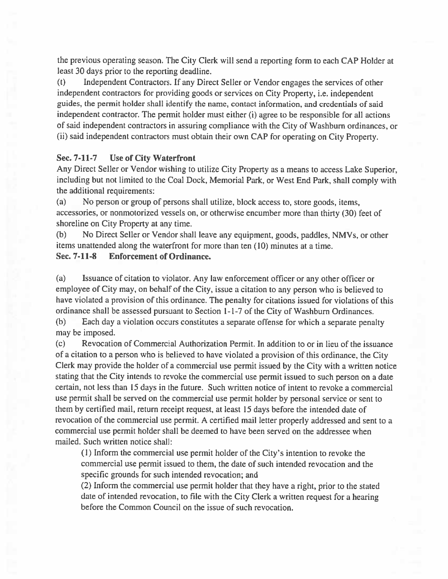the previous operating season. The City Clerk will send a reporting form to each CAP Holder at least 30 days prior to the reporting deadline.

Independent Contractors. If any Direct Seller or Vendor engages the services of other  $(t)$ independent contractors for providing goods or services on City Property, *i.e.* independent guides, the permit holder shall identify the name, contact information, and credentials of said independent contractor. The permit holder must either (i) agree to be responsible for all actions of said independent contractors in assuring compliance with the City of Washburn ordinances, or (ii) said independent contractors must obtain their own CAP for operating on City Property.

### Sec. 7-11-7 **Use of City Waterfront**

Any Direct Seller or Vendor wishing to utilize City Property as a means to access Lake Superior, including but not limited to the Coal Dock, Memorial Park, or West End Park, shall comply with the additional requirements:

No person or group of persons shall utilize, block access to, store goods, items,  $(a)$ accessories, or nonmotorized vessels on, or otherwise encumber more than thirty (30) feet of shoreline on City Property at any time.

No Direct Seller or Vendor shall leave any equipment, goods, paddles, NMVs, or other  $(b)$ items unattended along the waterfront for more than ten (10) minutes at a time.

### Sec. 7-11-8 **Enforcement of Ordinance.**

Issuance of citation to violator. Any law enforcement officer or any other officer or (a) employee of City may, on behalf of the City, issue a citation to any person who is believed to have violated a provision of this ordinance. The penalty for citations issued for violations of this ordinance shall be assessed pursuant to Section 1-1-7 of the City of Washburn Ordinances.

 $(b)$ Each day a violation occurs constitutes a separate offense for which a separate penalty may be imposed.

Revocation of Commercial Authorization Permit. In addition to or in lieu of the issuance  $(c)$ of a citation to a person who is believed to have violated a provision of this ordinance, the City Clerk may provide the holder of a commercial use permit issued by the City with a written notice stating that the City intends to revoke the commercial use permit issued to such person on a date certain, not less than 15 days in the future. Such written notice of intent to revoke a commercial use permit shall be served on the commercial use permit holder by personal service or sent to them by certified mail, return receipt request, at least 15 days before the intended date of revocation of the commercial use permit. A certified mail letter properly addressed and sent to a commercial use permit holder shall be deemed to have been served on the addressee when mailed. Such written notice shall:

(1) Inform the commercial use permit holder of the City's intention to revoke the commercial use permit issued to them, the date of such intended revocation and the specific grounds for such intended revocation; and

(2) Inform the commercial use permit holder that they have a right, prior to the stated date of intended revocation, to file with the City Clerk a written request for a hearing before the Common Council on the issue of such revocation.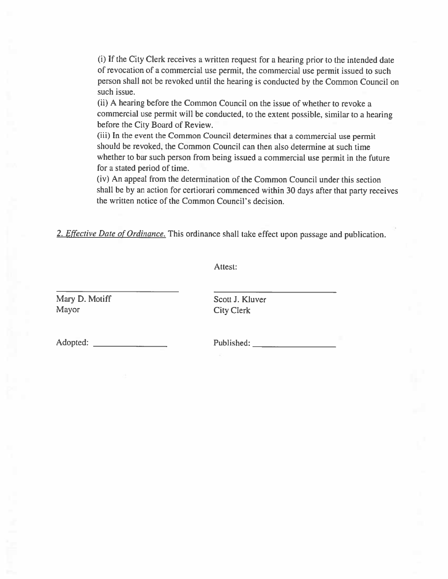(i) If the City Clerk receives a written request for a hearing prior to the intended date of revocation of a commercial use permit, the commercial use permit issued to such person shall not be revoked until the hearing is conducted by the Common Council on such issue.

(ii) A hearing before the Common Council on the issue of whether to revoke a commercial use permit will be conducted, to the extent possible, similar to a hearing before the City Board of Review.

(iii) In the event the Common Council determines that a commercial use permit should be revoked, the Common Council can then also determine at such time whether to bar such person from being issued a commercial use permit in the future for a stated period of time.

(iv) An appeal from the determination of the Common Council under this section shall be by an action for certiorari commenced within 30 days after that party receives the written notice of the Common Council's decision.

2. *Effective Date of Ordinance*. This ordinance shall take effect upon passage and publication.

Attest:

Mary D. Motiff Mayor

Scott J. Kluver **City Clerk** 

Adopted: The contract of the contract of the contract of the contract of the contract of the contract of the contract of the contract of the contract of the contract of the contract of the contract of the contract of the c

Published: The Contract of the Contract of the Contract of the Contract of the Contract of the Contract of the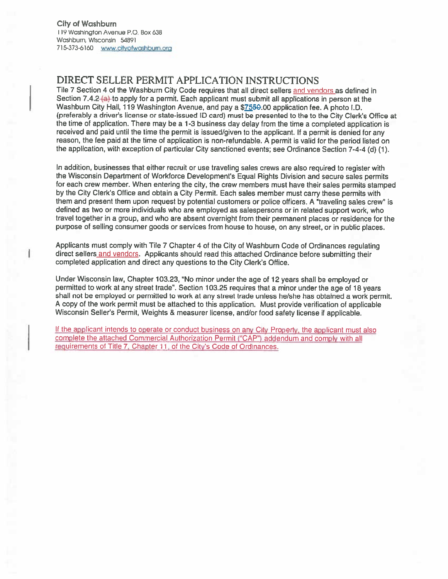# DIRECT SELLER PERMIT APPLICATION INSTRUCTIONS

Tile 7 Section 4 of the Washburn City Code requires that all direct sellers and vendors as defined in Section 7.4.2 (a) to apply for a permit. Each applicant must submit all applications in person at the Washburn City Hall, 119 Washington Avenue, and pay a \$7550.00 application fee. A photo I.D. (preferably a driver's license or state-issued ID card) must be presented to the to the City Clerk's Office at the time of application. There may be a 1-3 business day delay from the time a completed application is received and paid until the time the permit is issued/given to the applicant. If a permit is denied for any reason, the fee paid at the time of application is non-refundable. A permit is valid for the period listed on the application, with exception of particular City sanctioned events; see Ordinance Section 7-4-4 (d) (1).

In addition, businesses that either recruit or use traveling sales crews are also required to register with the Wisconsin Department of Workforce Development's Equal Rights Division and secure sales permits for each crew member. When entering the city, the crew members must have their sales permits stamped by the City Clerk's Office and obtain a City Permit. Each sales member must carry these permits with them and present them upon request by potential customers or police officers. A "traveling sales crew" is defined as two or more individuals who are employed as salespersons or in related support work, who travel together in a group, and who are absent overnight from their permanent places or residence for the purpose of selling consumer goods or services from house to house, on any street, or in public places.

Applicants must comply with Tile 7 Chapter 4 of the City of Washburn Code of Ordinances regulating direct sellers and vendors. Applicants should read this attached Ordinance before submitting their completed application and direct any questions to the City Clerk's Office.

Under Wisconsin law, Chapter 103.23, "No minor under the age of 12 years shall be employed or permitted to work at any street trade". Section 103.25 requires that a minor under the age of 18 years shall not be employed or permitted to work at any street trade unless he/she has obtained a work permit. A copy of the work permit must be attached to this application. Must provide verification of applicable Wisconsin Seller's Permit, Weights & measurer license, and/or food safety license if applicable.

If the applicant intends to operate or conduct business on any City Property, the applicant must also complete the attached Commercial Authorization Permit ("CAP") addendum and comply with all requirements of Title 7, Chapter 11, of the City's Code of Ordinances.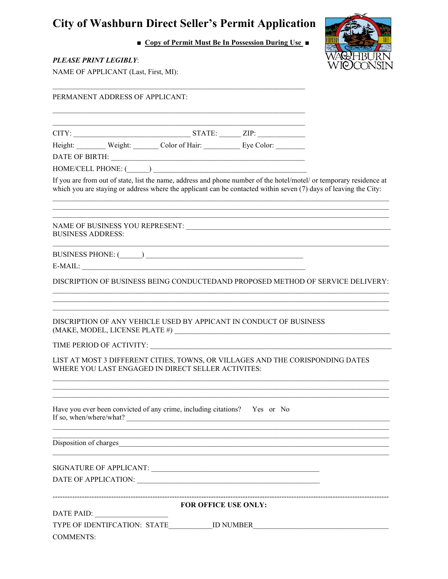# **City of Washburn Direct Seller's Permit Application**

■ Copy of Permit Must Be In Possession During Use ■



| PLEASE PRINT LEGIBLY:<br>NAME OF APPLICANT (Last, First, MI):                                                                                           | WIOCONSIN                                                                                                            |  |                                                                                                                                                                                                                                         |
|---------------------------------------------------------------------------------------------------------------------------------------------------------|----------------------------------------------------------------------------------------------------------------------|--|-----------------------------------------------------------------------------------------------------------------------------------------------------------------------------------------------------------------------------------------|
| PERMANENT ADDRESS OF APPLICANT:                                                                                                                         |                                                                                                                      |  |                                                                                                                                                                                                                                         |
|                                                                                                                                                         |                                                                                                                      |  |                                                                                                                                                                                                                                         |
|                                                                                                                                                         |                                                                                                                      |  |                                                                                                                                                                                                                                         |
| Height: Weight: Color of Hair: Eye Color: ________                                                                                                      |                                                                                                                      |  |                                                                                                                                                                                                                                         |
|                                                                                                                                                         |                                                                                                                      |  |                                                                                                                                                                                                                                         |
|                                                                                                                                                         |                                                                                                                      |  | If you are from out of state, list the name, address and phone number of the hotel/motel/ or temporary residence at<br>which you are staying or address where the applicant can be contacted within seven (7) days of leaving the City: |
| <b>BUSINESS ADDRESS:</b>                                                                                                                                |                                                                                                                      |  |                                                                                                                                                                                                                                         |
|                                                                                                                                                         |                                                                                                                      |  |                                                                                                                                                                                                                                         |
| $E-MAIL:$                                                                                                                                               |                                                                                                                      |  |                                                                                                                                                                                                                                         |
|                                                                                                                                                         |                                                                                                                      |  | DISCRIPTION OF BUSINESS BEING CONDUCTEDAND PROPOSED METHOD OF SERVICE DELIVERY:                                                                                                                                                         |
| DISCRIPTION OF ANY VEHICLE USED BY APPICANT IN CONDUCT OF BUSINESS<br>$\label{eq:MAKE} \text{(MAKE, MODEL, LICENSE PLATE~\#)} \underline{\hspace{2cm}}$ |                                                                                                                      |  |                                                                                                                                                                                                                                         |
|                                                                                                                                                         |                                                                                                                      |  |                                                                                                                                                                                                                                         |
| WHERE YOU LAST ENGAGED IN DIRECT SELLER ACTIVITES:                                                                                                      |                                                                                                                      |  | LIST AT MOST 3 DIFFERENT CITIES, TOWNS, OR VILLAGES AND THE CORISPONDING DATES                                                                                                                                                          |
| Have you ever been convicted of any crime, including citations?  Yes or No<br>If so, when/where/what?                                                   | <u> 2008 - Jan James James James James James James James James James James James James James James James James J</u> |  |                                                                                                                                                                                                                                         |
|                                                                                                                                                         |                                                                                                                      |  |                                                                                                                                                                                                                                         |
|                                                                                                                                                         |                                                                                                                      |  |                                                                                                                                                                                                                                         |
|                                                                                                                                                         |                                                                                                                      |  |                                                                                                                                                                                                                                         |
|                                                                                                                                                         | FOR OFFICE USE ONLY:                                                                                                 |  | ____________________________________                                                                                                                                                                                                    |
| DATE PAID:                                                                                                                                              |                                                                                                                      |  |                                                                                                                                                                                                                                         |
| TYPE OF IDENTIFCATION: STATE___________ ID NUMBER_<br><b>COMMENTS:</b>                                                                                  |                                                                                                                      |  | <u> 1980 - Johann Stein, marwolaethau (b. 1980)</u>                                                                                                                                                                                     |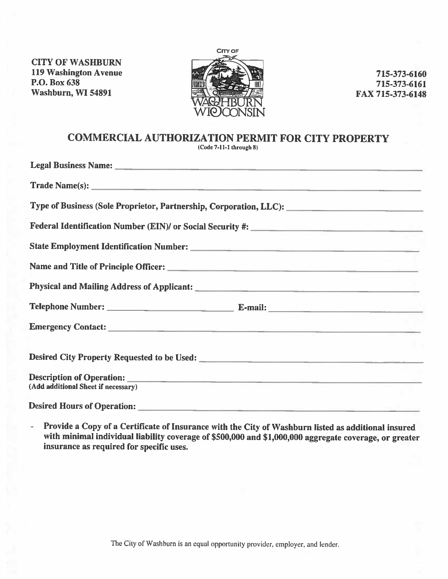**CITY OF WASHBURN 119 Washington Avenue** P.O. Box 638 Washburn, WI 54891



715-373-6160 715-373-6161 FAX 715-373-6148

# **COMMERCIAL AUTHORIZATION PERMIT FOR CITY PROPERTY**

 $(Code 7-11-1 through 8)$ 

| (Add additional Sheet if necessary) |  |
|-------------------------------------|--|

**Desired Hours of Operation:** 

Provide a Copy of a Certificate of Insurance with the City of Washburn listed as additional insured ú, with minimal individual liability coverage of \$500,000 and \$1,000,000 aggregate coverage, or greater insurance as required for specific uses.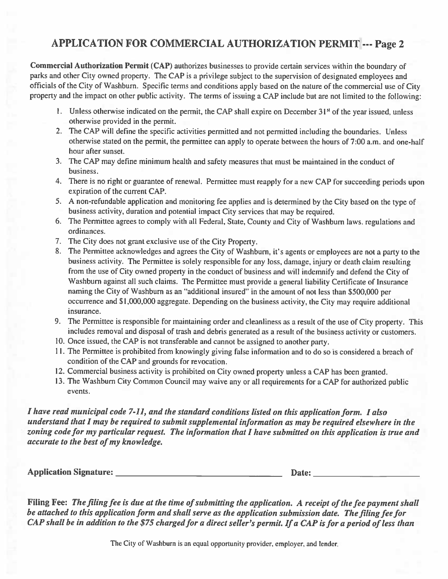# APPLICATION FOR COMMERCIAL AUTHORIZATION PERMIT --- Page 2

Commercial Authorization Permit (CAP) authorizes businesses to provide certain services within the boundary of parks and other City owned property. The CAP is a privilege subject to the supervision of designated employees and officials of the City of Washburn. Specific terms and conditions apply based on the nature of the commercial use of City property and the impact on other public activity. The terms of issuing a CAP include but are not limited to the following:

- 1. Unless otherwise indicated on the permit, the CAP shall expire on December 31<sup>st</sup> of the year issued, unless otherwise provided in the permit.
- 2. The CAP will define the specific activities permitted and not permitted including the boundaries. Unless otherwise stated on the permit, the permittee can apply to operate between the hours of 7:00 a.m. and one-half hour after sunset.
- 3. The CAP may define minimum health and safety measures that must be maintained in the conduct of business.
- 4. There is no right or guarantee of renewal. Permittee must reapply for a new CAP for succeeding periods upon expiration of the current CAP.
- 5. A non-refundable application and monitoring fee applies and is determined by the City based on the type of business activity, duration and potential impact City services that may be required.
- 6. The Permittee agrees to comply with all Federal, State, County and City of Washburn laws, regulations and ordinances.
- 7. The City does not grant exclusive use of the City Property.
- 8. The Permittee acknowledges and agrees the City of Washburn, it's agents or employees are not a party to the business activity. The Permittee is solely responsible for any loss, damage, injury or death claim resulting from the use of City owned property in the conduct of business and will indemnify and defend the City of Washburn against all such claims. The Permittee must provide a general liability Certificate of Insurance naming the City of Washburn as an "additional insured" in the amount of not less than \$500,000 per occurrence and \$1,000,000 aggregate. Depending on the business activity, the City may require additional insurance.
- 9. The Permittee is responsible for maintaining order and cleanliness as a result of the use of City property. This includes removal and disposal of trash and debris generated as a result of the business activity or customers.
- 10. Once issued, the CAP is not transferable and cannot be assigned to another party.
- 11. The Permittee is prohibited from knowingly giving false information and to do so is considered a breach of condition of the CAP and grounds for revocation.
- 12. Commercial business activity is prohibited on City owned property unless a CAP has been granted.
- 13. The Washburn City Common Council may waive any or all requirements for a CAP for authorized public events.

I have read municipal code 7-11, and the standard conditions listed on this application form. I also understand that I may be required to submit supplemental information as may be required elsewhere in the zoning code for my particular request. The information that I have submitted on this application is true and accurate to the best of my knowledge.

Date: the contract of the contract of the contract of the contract of the contract of the contract of the contract of the contract of the contract of the contract of the contract of the contract of the contract of the cont

Filing Fee: The filing fee is due at the time of submitting the application. A receipt of the fee payment shall be attached to this application form and shall serve as the application submission date. The filing fee for CAP shall be in addition to the \$75 charged for a direct seller's permit. If a CAP is for a period of less than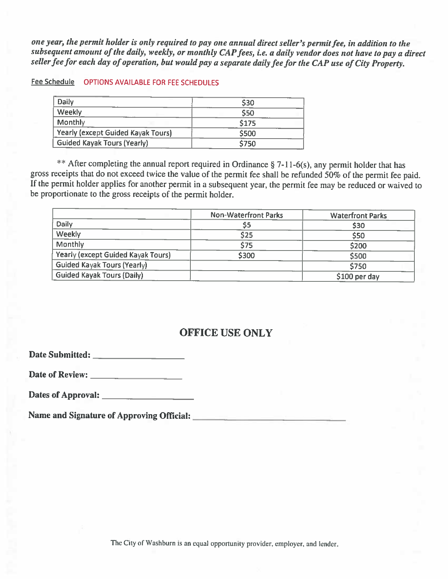one year, the permit holder is only required to pay one annual direct seller's permit fee, in addition to the subsequent amount of the daily, weekly, or monthly CAP fees, i.e. a daily vendor does not have to pay a direct seller fee for each day of operation, but would pay a separate daily fee for the CAP use of City Property.

## Fee Schedule OPTIONS AVAILABLE FOR FEE SCHEDULES

| Daily                              | \$30  |
|------------------------------------|-------|
| Weekly                             | \$50  |
| Monthly                            | \$175 |
| Yearly (except Guided Kayak Tours) | \$500 |
| <b>Guided Kayak Tours (Yearly)</b> | \$750 |

\*\* After completing the annual report required in Ordinance § 7-11-6(s), any permit holder that has gross receipts that do not exceed twice the value of the permit fee shall be refunded 50% of the permit fee paid. If the permit holder applies for another permit in a subsequent year, the permit fee may be reduced or waived to be proportionate to the gross receipts of the permit holder.

|                                    | <b>Non-Waterfront Parks</b> | <b>Waterfront Parks</b> |
|------------------------------------|-----------------------------|-------------------------|
| Daily                              | \$5                         | \$30                    |
| Weekly                             | \$25                        | \$50                    |
| <b>Monthly</b>                     | \$75                        | \$200                   |
| Yearly (except Guided Kayak Tours) | \$300                       | \$500                   |
| <b>Guided Kayak Tours (Yearly)</b> |                             | \$750                   |
| Guided Kayak Tours (Daily)         |                             | \$100 per day           |

# **OFFICE USE ONLY**

Date of Review: <u>the contract of Review:</u>

Dates of Approval:

Name and Signature of Approving Official: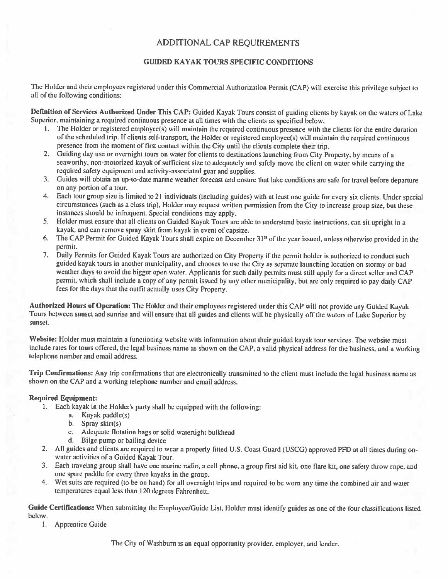# ADDITIONAL CAP REQUIREMENTS

## **GUIDED KAYAK TOURS SPECIFIC CONDITIONS**

The Holder and their employees registered under this Commercial Authorization Permit (CAP) will exercise this privilege subject to all of the following conditions:

Definition of Services Authorized Under This CAP: Guided Kayak Tours consist of guiding clients by kayak on the waters of Lake Superior, maintaining a required continuous presence at all times with the clients as specified below.

- 1. The Holder or registered employee(s) will maintain the required continuous presence with the clients for the entire duration of the scheduled trip. If clients self-transport, the Holder or registered employee(s) will maintain the required continuous presence from the moment of first contact within the City until the clients complete their trip.
- 2. Guiding day use or overnight tours on water for clients to destinations launching from City Property, by means of a seaworthy, non-motorized kayak of sufficient size to adequately and safely move the client on water while carrying the required safety equipment and activity-associated gear and supplies.
- 3. Guides will obtain an up-to-date marine weather forecast and ensure that lake conditions are safe for travel before departure on any portion of a tour.
- 4. Each tour group size is limited to 21 individuals (including guides) with at least one guide for every six clients. Under special circumstances (such as a class trip), Holder may request written permission from the City to increase group size, but these instances should be infrequent. Special conditions may apply.
- 5. Holder must ensure that all clients on Guided Kayak Tours are able to understand basic instructions, can sit upright in a kayak, and can remove spray skirt from kayak in event of capsize.
- 6. The CAP Permit for Guided Kayak Tours shall expire on December 31<sup>st</sup> of the year issued, unless otherwise provided in the permit.
- 7. Daily Permits for Guided Kayak Tours are authorized on City Property if the permit holder is authorized to conduct such guided kayak tours in another municipality, and chooses to use the City as separate launching location on stormy or bad weather days to avoid the bigger open water. Applicants for such daily permits must still apply for a direct seller and CAP permit, which shall include a copy of any permit issued by any other municipality, but are only required to pay daily CAP fees for the days that the outfit actually uses City Property.

Authorized Hours of Operation: The Holder and their employees registered under this CAP will not provide any Guided Kayak Tours between sunset and sunrise and will ensure that all guides and clients will be physically off the waters of Lake Superior by sunset.

Website: Holder must maintain a functioning website with information about their guided kayak tour services. The website must include rates for tours offered, the legal business name as shown on the CAP, a valid physical address for the business, and a working telephone number and email address.

Trip Confirmations: Any trip confirmations that are electronically transmitted to the client must include the legal business name as shown on the CAP and a working telephone number and email address.

## **Required Equipment:**

- 1. Each kayak in the Holder's party shall be equipped with the following:
	- a. Kayak paddle(s)
	- b. Spray skirt $(s)$
	- c. Adequate flotation bags or solid watertight bulkhead
	- d. Bilge pump or bailing device
- 2. All guides and clients are required to wear a properly fitted U.S. Coast Guard (USCG) approved PFD at all times during onwater activities of a Guided Kayak Tour.
- 3. Each traveling group shall have one marine radio, a cell phone, a group first aid kit, one flare kit, one safety throw rope, and one spare paddle for every three kayaks in the group.
- 4. Wet suits are required (to be on hand) for all overnight trips and required to be worn any time the combined air and water temperatures equal less than 120 degrees Fahrenheit.

Guide Certifications: When submitting the Employee/Guide List, Holder must identify guides as one of the four classifications listed below.

1. Apprentice Guide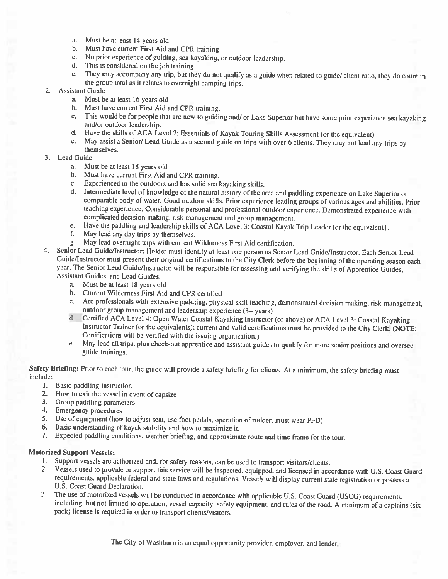- a. Must be at least 14 years old
- b. Must have current First Aid and CPR training
- c. No prior experience of guiding, sea kayaking, or outdoor leadership.
- $d_{\rm t}$ This is considered on the job training.
- e. They may accompany any trip, but they do not qualify as a guide when related to guide/ client ratio, they do count in the group total as it relates to overnight camping trips.

### 2. Assistant Guide

- a. Must be at least 16 years old
- Must have current First Aid and CPR training.  $<sub>b</sub>$ </sub>
- This would be for people that are new to guiding and/ or Lake Superior but have some prior experience sea kayaking  $\mathbf{c}_{\ast}$ and/or outdoor leadership.
- d. Have the skills of ACA Level 2: Essentials of Kayak Touring Skills Assessment (or the equivalent).
- May assist a Senior/ Lead Guide as a second guide on trips with over 6 clients. They may not lead any trips by e. themselves.

## 3. Lead Guide

- a. Must be at least 18 years old
- b. Must have current First Aid and CPR training.
- c. Experienced in the outdoors and has solid sea kayaking skills.
- d. Intermediate level of knowledge of the natural history of the area and paddling experience on Lake Superior or comparable body of water. Good outdoor skills. Prior experience leading groups of various ages and abilities. Prior teaching experience. Considerable personal and professional outdoor experience. Demonstrated experience with complicated decision making, risk management and group management.
- Have the paddling and leadership skills of ACA Level 3: Coastal Kayak Trip Leader (or the equivalent). e.
- $f_{1}$ May lead any day trips by themselves.
- May lead overnight trips with current Wilderness First Aid certification.  $g_{\rm{L}}$
- Senior Lead Guide/Instructor: Holder must identify at least one person as Senior Lead Guide/Instructor. Each Senior Lead 4. Guide/Instructor must present their original certifications to the City Clerk before the beginning of the operating season each year. The Senior Lead Guide/Instructor will be responsible for assessing and verifying the skills of Apprentice Guides, **Assistant Guides, and Lead Guides.** 
	- a. Must be at least 18 years old
	- b. Current Wilderness First Aid and CPR certified
	- c. Are professionals with extensive paddling, physical skill teaching, demonstrated decision making, risk management, outdoor group management and leadership experience (3+ years)
	- d. Certified ACA Level 4: Open Water Coastal Kayaking Instructor (or above) or ACA Level 3: Coastal Kayaking Instructor Trainer (or the equivalents); current and valid certifications must be provided to the City Clerk. (NOTE: Certifications will be verified with the issuing organization.)
	- e. May lead all trips, plus check-out apprentice and assistant guides to qualify for more senior positions and oversee guide trainings.

Safety Briefing: Prior to each tour, the guide will provide a safety briefing for clients. At a minimum, the safety briefing must include:

- 1. Basic paddling instruction
- 2. How to exit the vessel in event of capsize
- 3. Group paddling parameters
- 4. Emergency procedures
- 5. Use of equipment (how to adjust seat, use foot pedals, operation of rudder, must wear PFD)
- 6. Basic understanding of kayak stability and how to maximize it.
- 7. Expected paddling conditions, weather briefing, and approximate route and time frame for the tour.

### **Motorized Support Vessels:**

- 1. Support vessels are authorized and, for safety reasons, can be used to transport visitors/clients.
- 2. Vessels used to provide or support this service will be inspected, equipped, and licensed in accordance with U.S. Coast Guard requirements, applicable federal and state laws and regulations. Vessels will display current state registration or possess a U.S. Coast Guard Declaration.
- 3. The use of motorized vessels will be conducted in accordance with applicable U.S. Coast Guard (USCG) requirements, including, but not limited to operation, vessel capacity, safety equipment, and rules of the road. A minimum of a captains (six pack) license is required in order to transport clients/visitors.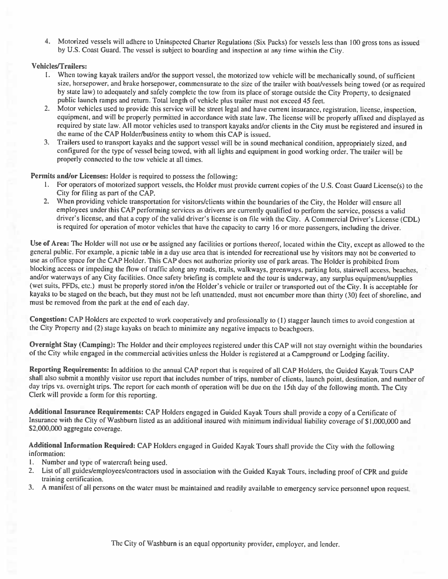4. Motorized vessels will adhere to Uninspected Charter Regulations (Six Packs) for vessels less than 100 gross tons as issued by U.S. Coast Guard. The vessel is subject to boarding and inspection at any time within the City.

## **Vehicles/Trailers:**

- 1. When towing kayak trailers and/or the support vessel, the motorized tow vehicle will be mechanically sound, of sufficient size, horsepower, and brake horsepower, commensurate to the size of the trailer with boat/vessels being towed (or as required by state law) to adequately and safely complete the tow from its place of storage outside the City Property, to designated public launch ramps and return. Total length of vehicle plus trailer must not exceed 45 feet.
- 2. Motor vehicles used to provide this service will be street legal and have current insurance, registration, license, inspection, equipment, and will be properly permitted in accordance with state law. The license will be properly affixed and displayed as required by state law. All motor vehicles used to transport kayaks and/or clients in the City must be registered and insured in the name of the CAP Holder/business entity to whom this CAP is issued.
- 3. Trailers used to transport kayaks and the support vessel will be in sound mechanical condition, appropriately sized, and configured for the type of vessel being towed, with all lights and equipment in good working order. The trailer will be properly connected to the tow vehicle at all times.

## Permits and/or Licenses: Holder is required to possess the following:

- 1. For operators of motorized support vessels, the Holder must provide current copies of the U.S. Coast Guard License(s) to the City for filing as part of the CAP.
- 2. When providing vehicle transportation for visitors/clients within the boundaries of the City, the Holder will ensure all employees under this CAP performing services as drivers are currently qualified to perform the service, possess a valid driver's license, and that a copy of the valid driver's license is on file with the City. A Commercial Driver's License (CDL) is required for operation of motor vehicles that have the capacity to carry 16 or more passengers, including the driver.

Use of Area: The Holder will not use or be assigned any facilities or portions thereof, located within the City, except as allowed to the general public. For example, a picnic table in a day use area that is intended for recreational use by visitors may not be converted to use as office space for the CAP Holder. This CAP does not authorize priority use of park areas. The Holder is prohibited from blocking access or impeding the flow of traffic along any roads, trails, walkways, greenways, parking lots, stairwell access, beaches, and/or waterways of any City facilities. Once safety briefing is complete and the tour is underway, any surplus equipment/supplies (wet suits, PFDs, etc.) must be properly stored in/on the Holder's vehicle or trailer or transported out of the City. It is acceptable for kayaks to be staged on the beach, but they must not be left unattended, must not encumber more than thirty (30) feet of shoreline, and must be removed from the park at the end of each day.

Congestion: CAP Holders are expected to work cooperatively and professionally to (1) stagger launch times to avoid congestion at the City Property and (2) stage kayaks on beach to minimize any negative impacts to beachgoers.

Overnight Stay (Camping): The Holder and their employees registered under this CAP will not stay overnight within the boundaries of the City while engaged in the commercial activities unless the Holder is registered at a Campground or Lodging facility.

Reporting Requirements: In addition to the annual CAP report that is required of all CAP Holders, the Guided Kayak Tours CAP shall also submit a monthly visitor use report that includes number of trips, number of clients, launch point, destination, and number of day trips vs. overnight trips. The report for each month of operation will be due on the 15th day of the following month. The City Clerk will provide a form for this reporting.

Additional Insurance Requirements: CAP Holders engaged in Guided Kayak Tours shall provide a copy of a Certificate of Insurance with the City of Washburn listed as an additional insured with minimum individual liability coverage of \$1,000,000 and \$2,000,000 aggregate coverage.

Additional Information Required: CAP Holders engaged in Guided Kayak Tours shall provide the City with the following information:

- 1. Number and type of watercraft being used.
- List of all guides/employees/contractors used in association with the Guided Kayak Tours, including proof of CPR and guide  $2.$ training certification.
- 3. A manifest of all persons on the water must be maintained and readily available to emergency service personnel upon request.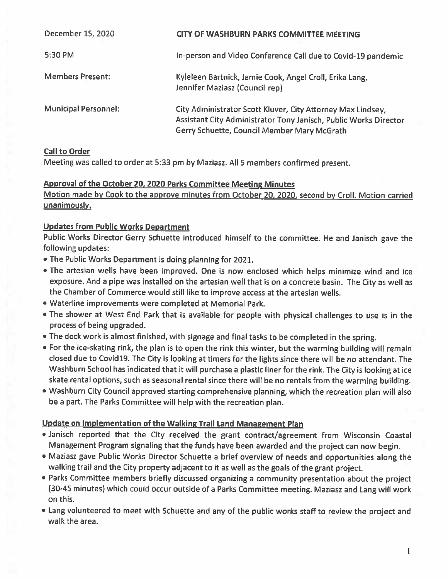| December 15, 2020           | <b>CITY OF WASHBURN PARKS COMMITTEE MEETING</b>                                                                                                                                |
|-----------------------------|--------------------------------------------------------------------------------------------------------------------------------------------------------------------------------|
| 5:30 PM                     | In-person and Video Conference Call due to Covid-19 pandemic                                                                                                                   |
| <b>Members Present:</b>     | Kyleleen Bartnick, Jamie Cook, Angel Croll, Erika Lang,<br>Jennifer Maziasz (Council rep)                                                                                      |
| <b>Municipal Personnel:</b> | City Administrator Scott Kluver, City Attorney Max Lindsey,<br>Assistant City Administrator Tony Janisch, Public Works Director<br>Gerry Schuette, Council Member Mary McGrath |

# **Call to Order**

Meeting was called to order at 5:33 pm by Maziasz. All 5 members confirmed present.

# Approval of the October 20, 2020 Parks Committee Meeting Minutes

Motion made by Cook to the approve minutes from October 20, 2020, second by Croll. Motion carried unanimously.

# **Updates from Public Works Department**

Public Works Director Gerry Schuette introduced himself to the committee. He and Janisch gave the following updates:

- . The Public Works Department is doing planning for 2021.
- . The artesian wells have been improved. One is now enclosed which helps minimize wind and ice exposure. And a pipe was installed on the artesian well that is on a concrete basin. The City as well as the Chamber of Commerce would still like to improve access at the artesian wells.
- Waterline improvements were completed at Memorial Park.
- . The shower at West End Park that is available for people with physical challenges to use is in the process of being upgraded.
- The dock work is almost finished, with signage and final tasks to be completed in the spring.
- . For the ice-skating rink, the plan is to open the rink this winter, but the warming building will remain closed due to Covid19. The City is looking at timers for the lights since there will be no attendant. The Washburn School has indicated that it will purchase a plastic liner for the rink. The City is looking at ice skate rental options, such as seasonal rental since there will be no rentals from the warming building.
- . Washburn City Council approved starting comprehensive planning, which the recreation plan will also be a part. The Parks Committee will help with the recreation plan.

# Update on Implementation of the Walking Trail Land Management Plan

- . Janisch reported that the City received the grant contract/agreement from Wisconsin Coastal Management Program signaling that the funds have been awarded and the project can now begin.
- . Maziasz gave Public Works Director Schuette a brief overview of needs and opportunities along the walking trail and the City property adjacent to it as well as the goals of the grant project.
- . Parks Committee members briefly discussed organizing a community presentation about the project (30-45 minutes) which could occur outside of a Parks Committee meeting. Maziasz and Lang will work on this.
- . Lang volunteered to meet with Schuette and any of the public works staff to review the project and walk the area.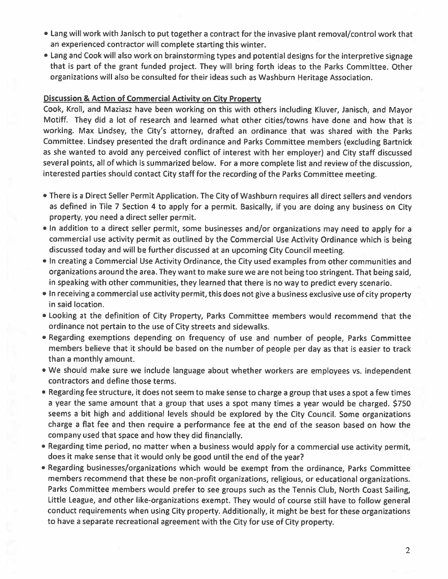- Lang will work with Janisch to put together a contract for the invasive plant removal/control work that an experienced contractor will complete starting this winter.
- . Lang and Cook will also work on brainstorming types and potential designs for the interpretive signage that is part of the grant funded project. They will bring forth ideas to the Parks Committee. Other organizations will also be consulted for their ideas such as Washburn Heritage Association.

## **Discussion & Action of Commercial Activity on City Property**

Cook, Kroll, and Maziasz have been working on this with others including Kluver, Janisch, and Mayor Motiff. They did a lot of research and learned what other cities/towns have done and how that is working. Max Lindsey, the City's attorney, drafted an ordinance that was shared with the Parks Committee. Lindsey presented the draft ordinance and Parks Committee members (excluding Bartnick as she wanted to avoid any perceived conflict of interest with her employer) and City staff discussed several points, all of which is summarized below. For a more complete list and review of the discussion, interested parties should contact City staff for the recording of the Parks Committee meeting.

- . There is a Direct Seller Permit Application. The City of Washburn requires all direct sellers and vendors as defined in Tile 7 Section 4 to apply for a permit. Basically, if you are doing any business on City property, you need a direct seller permit.
- . In addition to a direct seller permit, some businesses and/or organizations may need to apply for a commercial use activity permit as outlined by the Commercial Use Activity Ordinance which is being discussed today and will be further discussed at an upcoming City Council meeting.
- . In creating a Commercial Use Activity Ordinance, the City used examples from other communities and organizations around the area. They want to make sure we are not being too stringent. That being said, in speaking with other communities, they learned that there is no way to predict every scenario.
- In receiving a commercial use activity permit, this does not give a business exclusive use of city property in said location.
- . Looking at the definition of City Property, Parks Committee members would recommend that the ordinance not pertain to the use of City streets and sidewalks.
- . Regarding exemptions depending on frequency of use and number of people, Parks Committee members believe that it should be based on the number of people per day as that is easier to track than a monthly amount.
- . We should make sure we include language about whether workers are employees vs. independent contractors and define those terms.
- . Regarding fee structure, it does not seem to make sense to charge a group that uses a spot a few times a year the same amount that a group that uses a spot many times a year would be charged. \$750 seems a bit high and additional levels should be explored by the City Council. Some organizations charge a flat fee and then require a performance fee at the end of the season based on how the company used that space and how they did financially.
- Regarding time period, no matter when a business would apply for a commercial use activity permit, does it make sense that it would only be good until the end of the year?
- . Regarding businesses/organizations which would be exempt from the ordinance, Parks Committee members recommend that these be non-profit organizations, religious, or educational organizations. Parks Committee members would prefer to see groups such as the Tennis Club, North Coast Sailing, Little League, and other like-organizations exempt. They would of course still have to follow general conduct requirements when using City property. Additionally, it might be best for these organizations to have a separate recreational agreement with the City for use of City property.